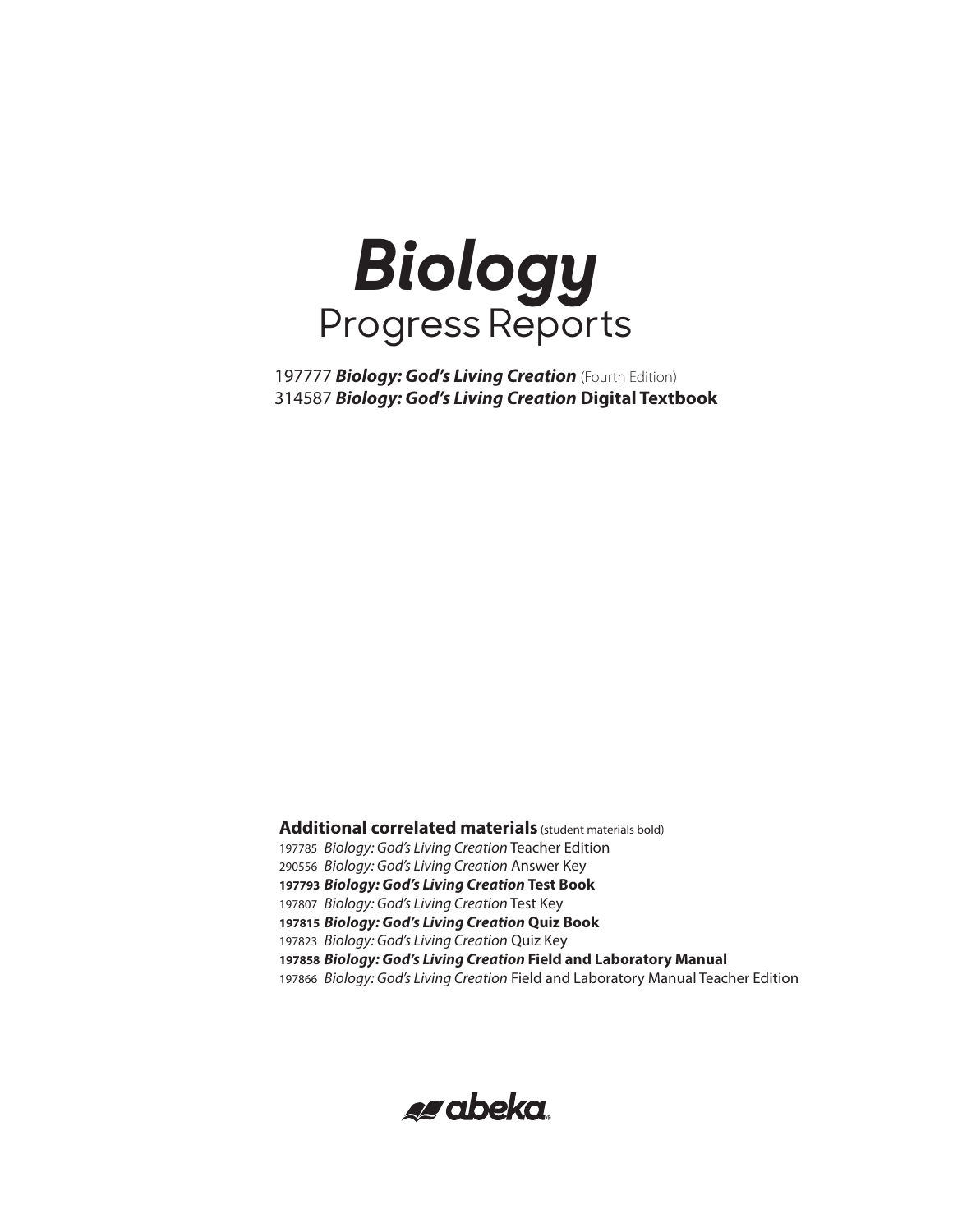

 *Biology: God's Living Creation* (Fourth Edition) *Biology: God's Living Creation* **Digital Textbook**

**Additional correlated materials** (student materials bold) *Biology: God's Living Creation* Teacher Edition *Biology: God's Living Creation* Answer Key *Biology: God's Living Creation* **Test Book** *Biology: God's Living Creation* Test Key *Biology: God's Living Creation* **Quiz Book** *Biology: God's Living Creation* Quiz Key *Biology: God's Living Creation* **Field and Laboratory Manual** *Biology: God's Living Creation* Field and Laboratory Manual Teacher Edition

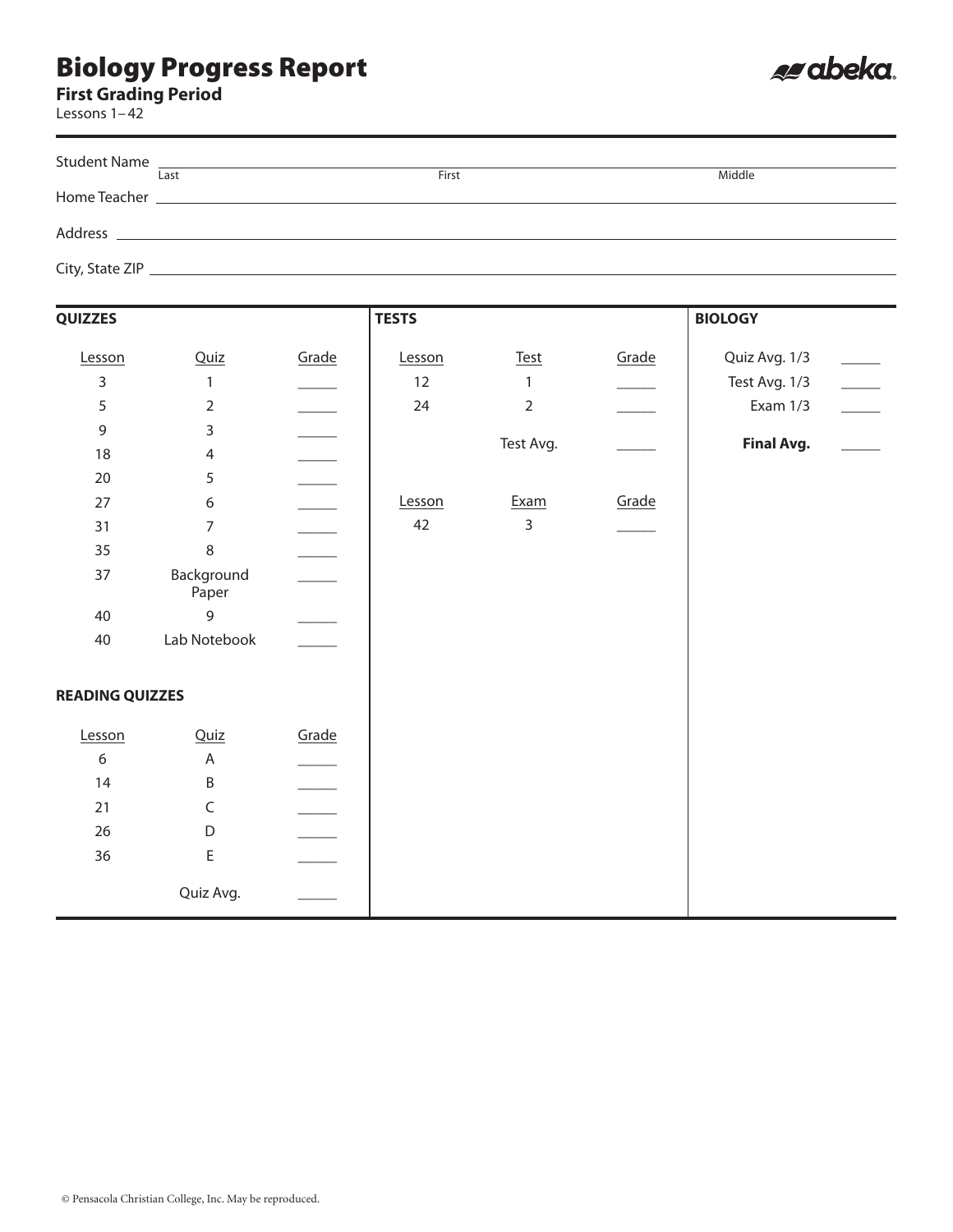**First Grading Period**

Lessons 1–42

| Student Name                                                                                                                                                                                                                         |       |        |
|--------------------------------------------------------------------------------------------------------------------------------------------------------------------------------------------------------------------------------------|-------|--------|
| Last                                                                                                                                                                                                                                 | First | Middle |
| Home Teacher <b>Executive Executive Contract Contract Contract Contract Contract Contract Contract Contract Contract Contract Contract Contract Contract Contract Contract Contract Contract Contract Contract Contract Contract</b> |       |        |
|                                                                                                                                                                                                                                      |       |        |
|                                                                                                                                                                                                                                      |       |        |
|                                                                                                                                                                                                                                      |       |        |
|                                                                                                                                                                                                                                      |       |        |

| <b>QUIZZES</b>         |                     |       | <b>TESTS</b> |                |       | <b>BIOLOGY</b>    |  |
|------------------------|---------------------|-------|--------------|----------------|-------|-------------------|--|
| Lesson                 | Quiz                | Grade | Lesson       | $Test$         | Grade | Quiz Avg. 1/3     |  |
| 3                      | $\mathbf{1}$        |       | 12           | 1              |       | Test Avg. 1/3     |  |
| 5                      | $\overline{2}$      |       | 24           | $\overline{2}$ |       | Exam 1/3          |  |
| 9                      | 3                   |       |              |                |       |                   |  |
| 18                     | $\overline{4}$      |       |              | Test Avg.      |       | <b>Final Avg.</b> |  |
| $20\,$                 | 5                   |       |              |                |       |                   |  |
| 27                     | 6                   |       | Lesson       | Exam           | Grade |                   |  |
| 31                     | $\overline{7}$      |       | 42           | $\overline{3}$ |       |                   |  |
| 35                     | 8                   |       |              |                |       |                   |  |
| 37                     | Background<br>Paper |       |              |                |       |                   |  |
| 40                     | 9                   |       |              |                |       |                   |  |
| 40                     | Lab Notebook        |       |              |                |       |                   |  |
| <b>READING QUIZZES</b> |                     |       |              |                |       |                   |  |
| Lesson                 | Quiz                | Grade |              |                |       |                   |  |
| 6                      | A                   |       |              |                |       |                   |  |
| 14                     | B                   |       |              |                |       |                   |  |
| 21                     | $\mathsf C$         |       |              |                |       |                   |  |
| 26                     | D                   |       |              |                |       |                   |  |
| 36                     | $\mathsf E$         |       |              |                |       |                   |  |
|                        | Quiz Avg.           |       |              |                |       |                   |  |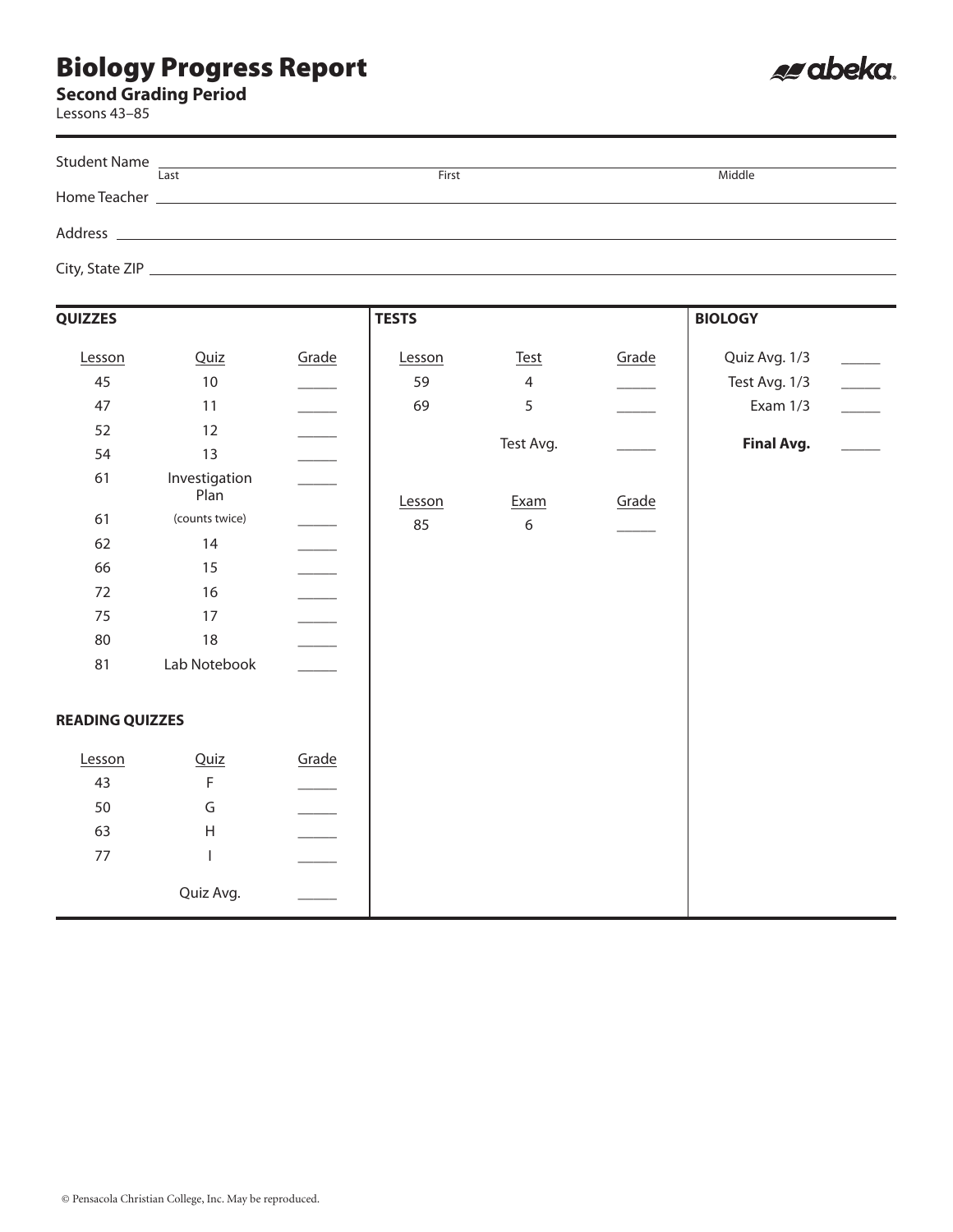#### **Second Grading Period**

Lessons 43–85

|         | Student Name                                                                                                         |       |        |
|---------|----------------------------------------------------------------------------------------------------------------------|-------|--------|
|         | Last                                                                                                                 | First | Middle |
|         |                                                                                                                      |       |        |
|         |                                                                                                                      |       |        |
| Address | <u> 1989 - Andrea State Barbara, amerikan bahasa di sebagai personal dan bagian personal dan bagian personal dan</u> |       |        |
|         |                                                                                                                      |       |        |
|         |                                                                                                                      |       |        |
|         |                                                                                                                      |       |        |

| QUIZZES                |                       |       | <b>TESTS</b> |                  |       | <b>BIOLOGY</b>    |  |
|------------------------|-----------------------|-------|--------------|------------------|-------|-------------------|--|
| Lesson                 | Quiz                  | Grade | Lesson       | <b>Test</b>      | Grade | Quiz Avg. 1/3     |  |
| 45                     | $10\,$                |       | 59           | $\overline{4}$   |       | Test Avg. 1/3     |  |
| 47                     | 11                    |       | 69           | 5                |       | Exam 1/3          |  |
| 52                     | $12\,$                |       |              |                  |       |                   |  |
| 54                     | 13                    |       |              | Test Avg.        |       | <b>Final Avg.</b> |  |
| 61                     | Investigation<br>Plan |       | Lesson       | Exam             | Grade |                   |  |
| 61                     | (counts twice)        |       | 85           | $\boldsymbol{6}$ |       |                   |  |
| 62                     | 14                    |       |              |                  |       |                   |  |
| 66                     | 15                    |       |              |                  |       |                   |  |
| $72\,$                 | 16                    |       |              |                  |       |                   |  |
| 75                     | 17                    |       |              |                  |       |                   |  |
| 80                     | 18                    |       |              |                  |       |                   |  |
| 81                     | Lab Notebook          |       |              |                  |       |                   |  |
| <b>READING QUIZZES</b> |                       |       |              |                  |       |                   |  |
| Lesson                 | Quiz                  | Grade |              |                  |       |                   |  |
| 43                     | $\mathsf F$           |       |              |                  |       |                   |  |
| 50                     | G                     |       |              |                  |       |                   |  |
| 63                     | $\mathsf{H}$          |       |              |                  |       |                   |  |
| 77                     | T                     |       |              |                  |       |                   |  |
|                        | Quiz Avg.             |       |              |                  |       |                   |  |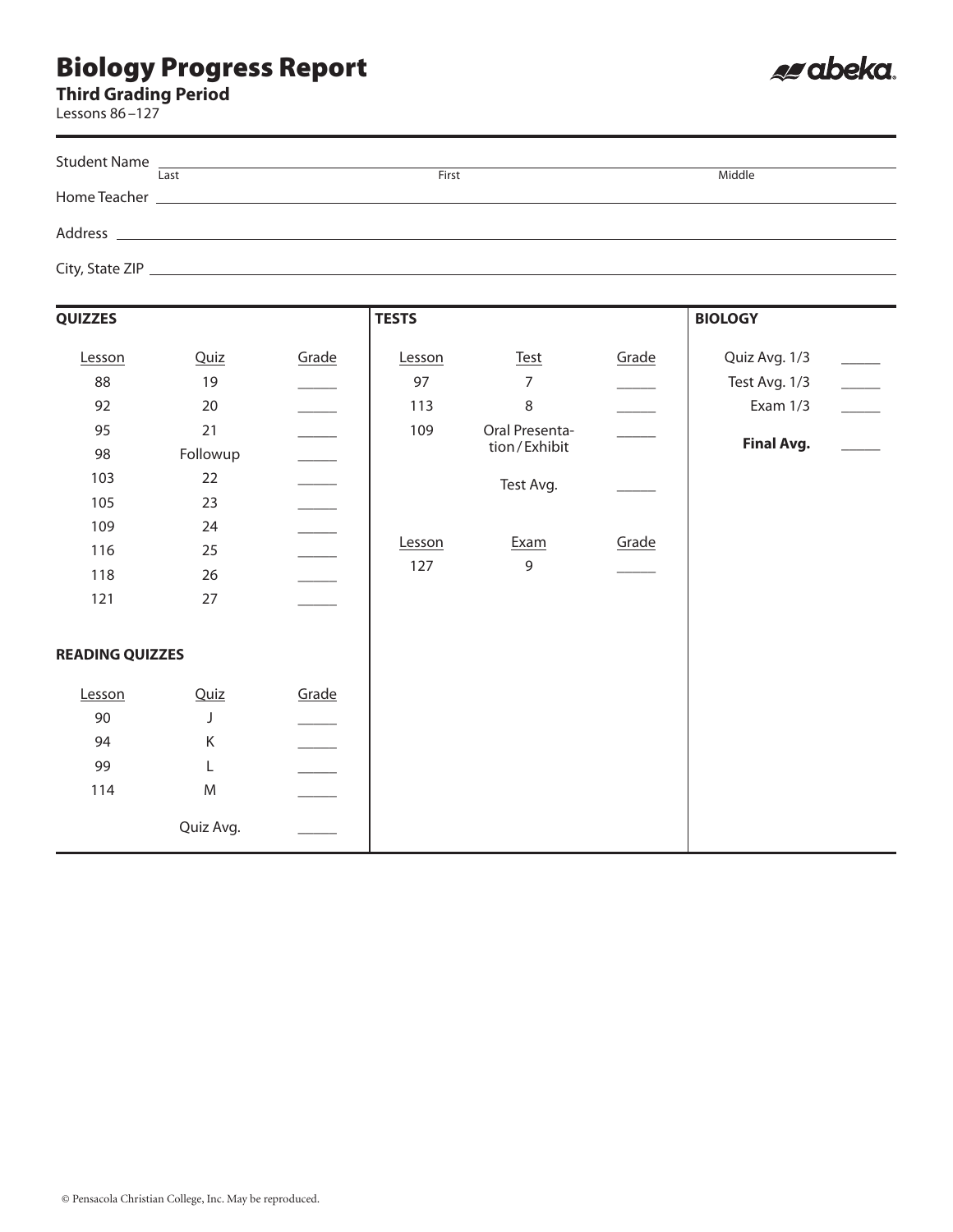**Third Grading Period**

Lessons 86–127

| Last                                                                                 | First | Middle |
|--------------------------------------------------------------------------------------|-------|--------|
| Home Teacher <b>Example 2018 Manufacturer Manufacturer Manufacturer Manufacturer</b> |       |        |
|                                                                                      |       |        |
|                                                                                      |       |        |
|                                                                                      |       |        |
|                                                                                      |       |        |

| <b>QUIZZES</b>         |           |       | <b>TESTS</b> |                |                          | <b>BIOLOGY</b>    |  |
|------------------------|-----------|-------|--------------|----------------|--------------------------|-------------------|--|
| Lesson                 | Quiz      | Grade | Lesson       | <b>Test</b>    | Grade                    | Quiz Avg. 1/3     |  |
| 88                     | $19$      |       | 97           | $\overline{7}$ |                          | Test Avg. 1/3     |  |
| 92                     | 20        |       | 113          | $\,8\,$        | $\overline{\phantom{a}}$ | Exam $1/3$        |  |
| 95                     | 21        |       | 109          | Oral Presenta- |                          |                   |  |
| 98                     | Followup  |       |              | tion/Exhibit   |                          | <b>Final Avg.</b> |  |
| 103                    | 22        |       |              | Test Avg.      |                          |                   |  |
| 105                    | 23        |       |              |                |                          |                   |  |
| 109                    | 24        |       |              |                |                          |                   |  |
| 116                    | 25        |       | Lesson       | Exam           | Grade                    |                   |  |
| 118                    | 26        |       | 127          | $\mathsf 9$    |                          |                   |  |
| 121                    | 27        |       |              |                |                          |                   |  |
| <b>READING QUIZZES</b> |           |       |              |                |                          |                   |  |
| Lesson                 | Quiz      | Grade |              |                |                          |                   |  |
| 90                     | J         |       |              |                |                          |                   |  |
| 94                     | Κ         |       |              |                |                          |                   |  |
| 99                     | L         |       |              |                |                          |                   |  |
| 114                    | M         |       |              |                |                          |                   |  |
|                        | Quiz Avg. |       |              |                |                          |                   |  |